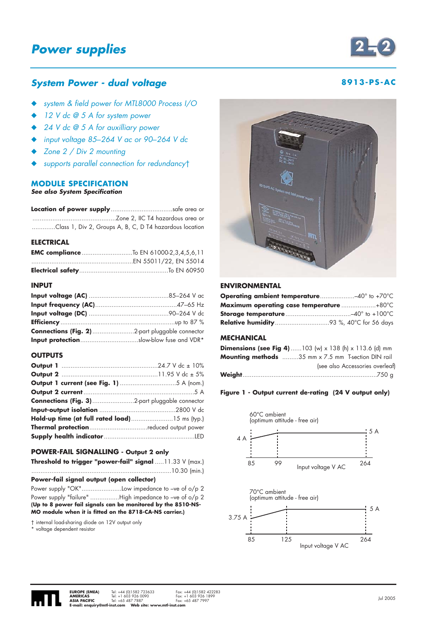

# **System Power - dual voltage and a set of the system Power - dual voltage and a set of the system of the system of the system of the system of the system of the system of the system of the system of the system of the syste**

- ◆ system & field power for MTL8000 Process I/O
- ◆ 12 V dc @ 5 A for system power
- ◆ 24 V dc @ 5 A for auxilliary power
- ◆ input voltage 85*–*264 V ac or 90*–*264 V dc
- Zone  $2 /$  Div 2 mounting
- supports parallel connection for redundancyt

# **MODULE SPECIFICATION**

**See also System Specification**

**Location of power supply**..................................safe area or ..............................................Zone 2, IIC T4 hazardous area or .............Class 1, Div 2, Groups A, B, C, D T4 hazardous location

#### **ELECTRICAL**

| <b>EMC compliance</b> To EN 61000-2,3,4,5,6,11 |  |
|------------------------------------------------|--|
|                                                |  |
|                                                |  |

#### **INPUT**

| Input protectionslow-blow fuse and VDR* |
|-----------------------------------------|

# **OUTPUTS**

| <b>Connections (Fig. 3)</b> 2-part pluggable connector |
|--------------------------------------------------------|
|                                                        |
|                                                        |
| Thermal protectionreduced output power                 |
|                                                        |
|                                                        |

#### **POWER-FAIL SIGNALLING - Output 2 only**

| <b>Threshold to trigger "power-fail" signal</b> 11.33 $V$ (max.) |  |  |  |  |
|------------------------------------------------------------------|--|--|--|--|
|                                                                  |  |  |  |  |

#### **Power-fail signal output (open collector)**

Power supply "OK"......................Low impedance to –ve of o/p 2 Power supply "failure" ...............High impedance to -ve of o/p 2 **(Up to 8 power fail signals can be monitored by the 8510-NS-MO module when it is fitted on the 8718-CA-NS carrier.)**

† internal load-sharing diode on 12V output only

\* voltage dependent resistor



# **ENVIRONMENTAL**

| <b>Operating ambient temperature40° to +70°C</b> |  |
|--------------------------------------------------|--|
|                                                  |  |
|                                                  |  |
|                                                  |  |

# **MECHANICAL**

| <b>Dimensions (see Fig 4)</b> 103 (w) x 138 (h) x 113.6 (d) mm |
|----------------------------------------------------------------|
| <b>Mounting methods</b> 35 mm x 7.5 mm T-section DIN rail      |
| (see also Accessories overleaf)                                |
|                                                                |

#### **Figure 1 - Output current de-rating (24 V output only)**